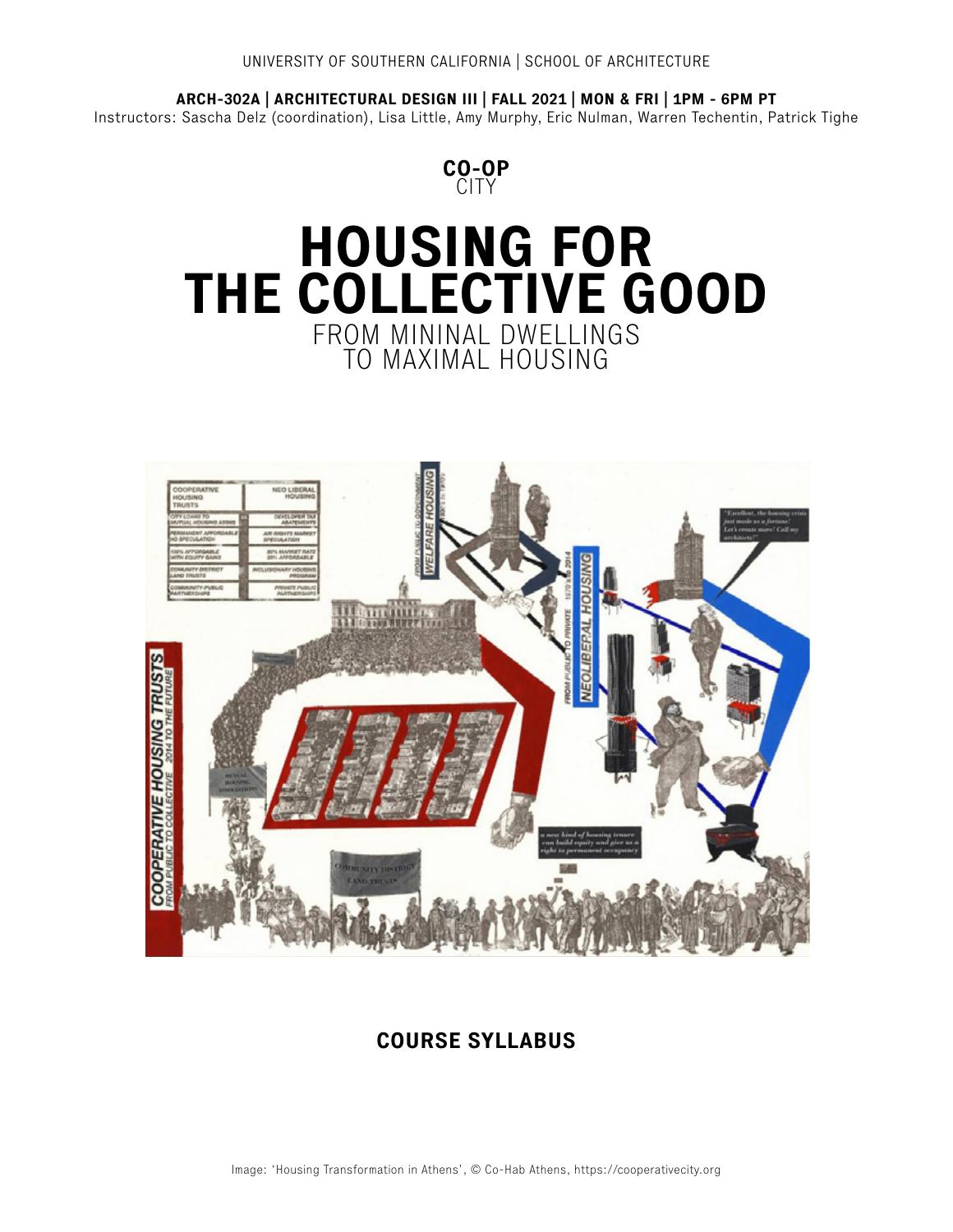#### **ARCH-302A | ARCHITECTURAL DESIGN III | FALL 2021 | MON & FRI | 1PM - 6PM PT**

Instructors: Sascha Delz (coordination), Lisa Little, Amy Murphy, Eric Nulman, Warren Techentin, Patrick Tighe



# FROM MININAL DWELLINGS TO MAXIMAL HOUSING **HOUSING FOR THE COLLECTIVE GOOD**



## **COURSE SYLLABUS**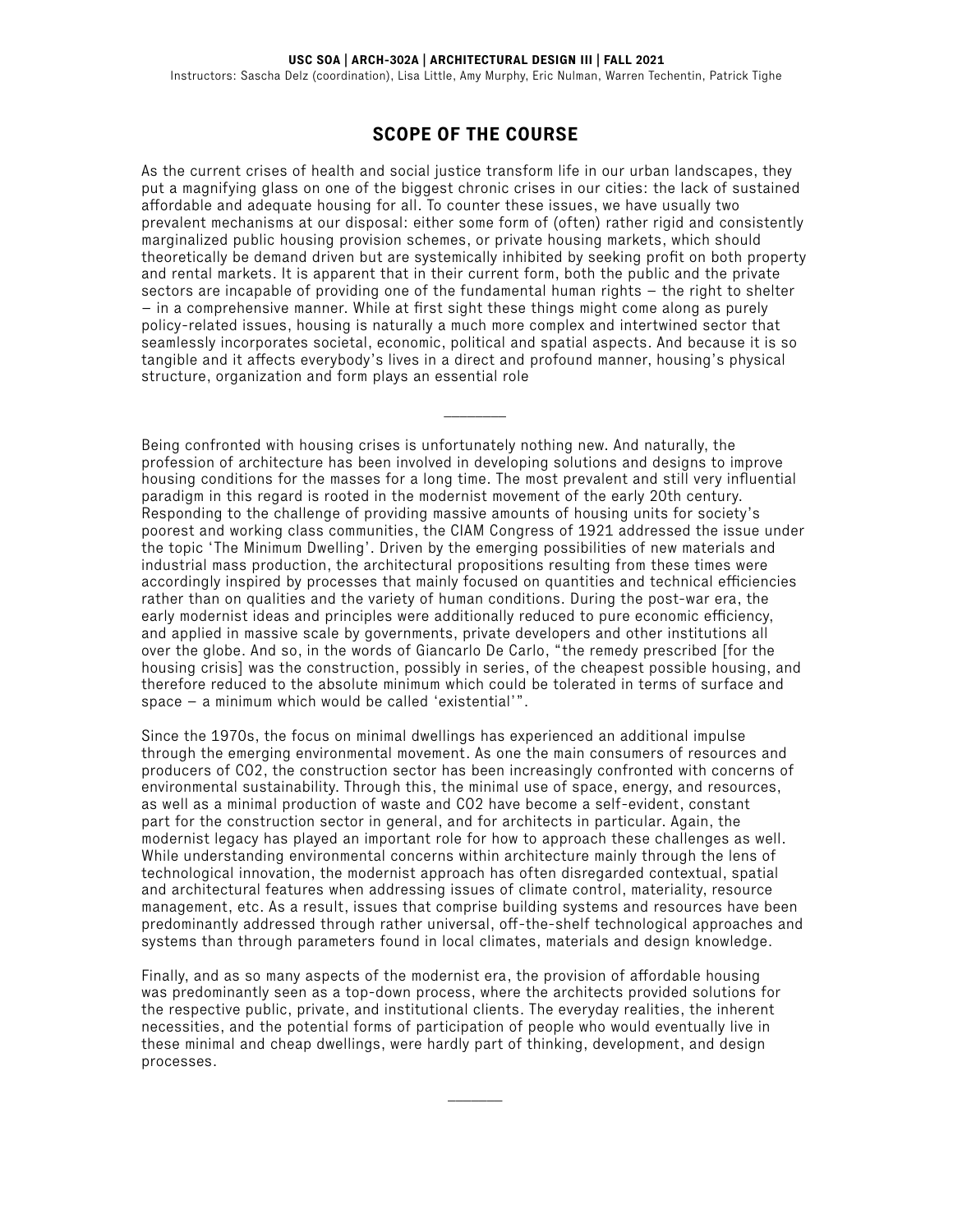## **SCOPE OF THE COURSE**

As the current crises of health and social justice transform life in our urban landscapes, they put a magnifying glass on one of the biggest chronic crises in our cities: the lack of sustained affordable and adequate housing for all. To counter these issues, we have usually two prevalent mechanisms at our disposal: either some form of (often) rather rigid and consistently marginalized public housing provision schemes, or private housing markets, which should theoretically be demand driven but are systemically inhibited by seeking profit on both property and rental markets. It is apparent that in their current form, both the public and the private sectors are incapable of providing one of the fundamental human rights – the right to shelter – in a comprehensive manner. While at first sight these things might come along as purely policy-related issues, housing is naturally a much more complex and intertwined sector that seamlessly incorporates societal, economic, political and spatial aspects. And because it is so tangible and it affects everybody's lives in a direct and profound manner, housing's physical structure, organization and form plays an essential role

 $\overline{\phantom{a}}$ 

Being confronted with housing crises is unfortunately nothing new. And naturally, the profession of architecture has been involved in developing solutions and designs to improve housing conditions for the masses for a long time. The most prevalent and still very influential paradigm in this regard is rooted in the modernist movement of the early 20th century. Responding to the challenge of providing massive amounts of housing units for society's poorest and working class communities, the CIAM Congress of 1921 addressed the issue under the topic 'The Minimum Dwelling'. Driven by the emerging possibilities of new materials and industrial mass production, the architectural propositions resulting from these times were accordingly inspired by processes that mainly focused on quantities and technical efficiencies rather than on qualities and the variety of human conditions. During the post-war era, the early modernist ideas and principles were additionally reduced to pure economic efficiency, and applied in massive scale by governments, private developers and other institutions all over the globe. And so, in the words of Giancarlo De Carlo, "the remedy prescribed [for the housing crisis] was the construction, possibly in series, of the cheapest possible housing, and therefore reduced to the absolute minimum which could be tolerated in terms of surface and space – a minimum which would be called 'existential'".

Since the 1970s, the focus on minimal dwellings has experienced an additional impulse through the emerging environmental movement. As one the main consumers of resources and producers of CO2, the construction sector has been increasingly confronted with concerns of environmental sustainability. Through this, the minimal use of space, energy, and resources, as well as a minimal production of waste and CO2 have become a self-evident, constant part for the construction sector in general, and for architects in particular. Again, the modernist legacy has played an important role for how to approach these challenges as well. While understanding environmental concerns within architecture mainly through the lens of technological innovation, the modernist approach has often disregarded contextual, spatial and architectural features when addressing issues of climate control, materiality, resource management, etc. As a result, issues that comprise building systems and resources have been predominantly addressed through rather universal, off-the-shelf technological approaches and systems than through parameters found in local climates, materials and design knowledge.

Finally, and as so many aspects of the modernist era, the provision of affordable housing was predominantly seen as a top-down process, where the architects provided solutions for the respective public, private, and institutional clients. The everyday realities, the inherent necessities, and the potential forms of participation of people who would eventually live in these minimal and cheap dwellings, were hardly part of thinking, development, and design processes.

 $\overline{\phantom{a}}$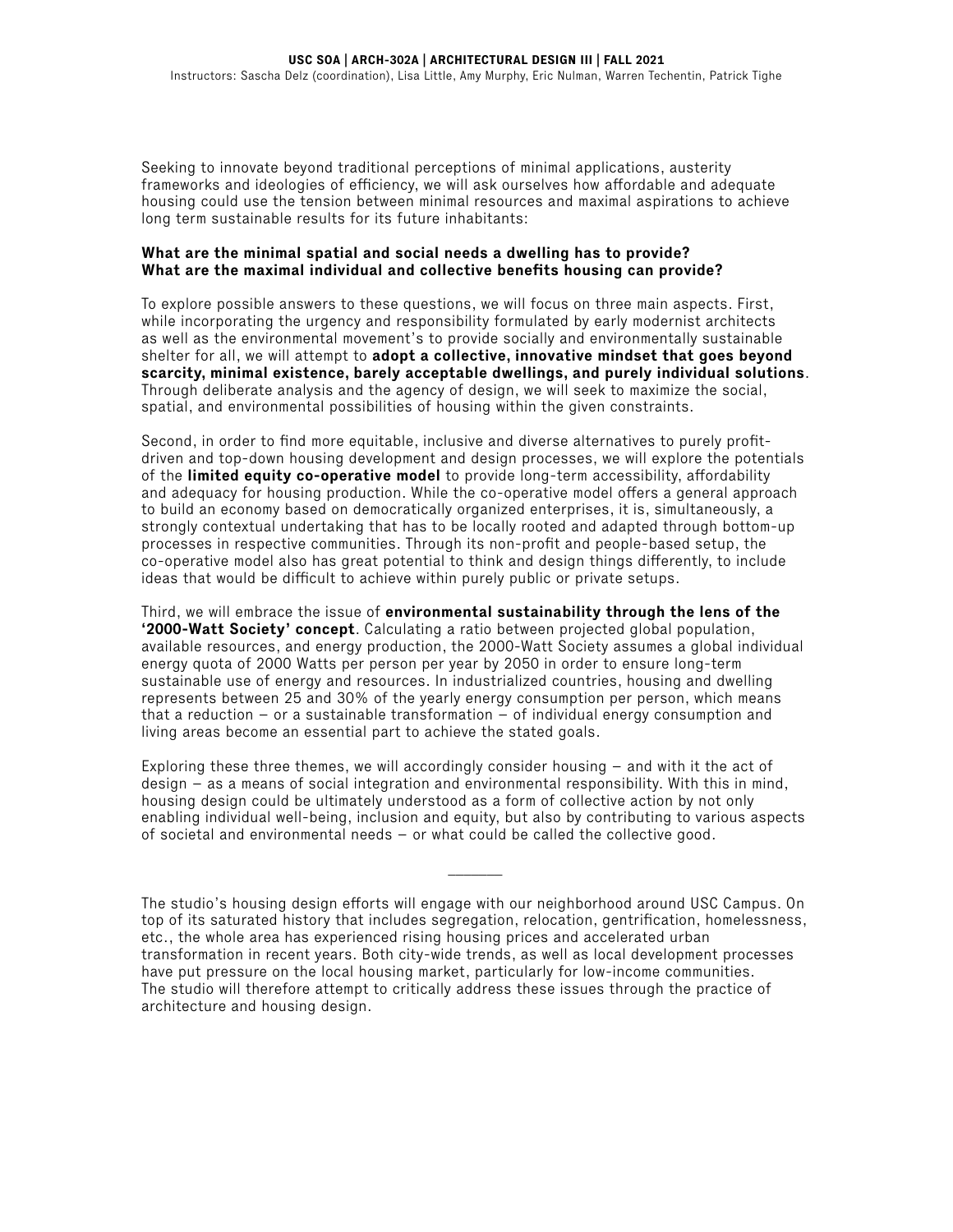Seeking to innovate beyond traditional perceptions of minimal applications, austerity frameworks and ideologies of efficiency, we will ask ourselves how affordable and adequate housing could use the tension between minimal resources and maximal aspirations to achieve long term sustainable results for its future inhabitants:

#### **What are the minimal spatial and social needs a dwelling has to provide? What are the maximal individual and collective benefits housing can provide?**

To explore possible answers to these questions, we will focus on three main aspects. First, while incorporating the urgency and responsibility formulated by early modernist architects as well as the environmental movement's to provide socially and environmentally sustainable shelter for all, we will attempt to **adopt a collective, innovative mindset that goes beyond scarcity, minimal existence, barely acceptable dwellings, and purely individual solutions**. Through deliberate analysis and the agency of design, we will seek to maximize the social, spatial, and environmental possibilities of housing within the given constraints.

Second, in order to find more equitable, inclusive and diverse alternatives to purely profitdriven and top-down housing development and design processes, we will explore the potentials of the **limited equity co-operative model** to provide long-term accessibility, affordability and adequacy for housing production. While the co-operative model offers a general approach to build an economy based on democratically organized enterprises, it is, simultaneously, a strongly contextual undertaking that has to be locally rooted and adapted through bottom-up processes in respective communities. Through its non-profit and people-based setup, the co-operative model also has great potential to think and design things differently, to include ideas that would be difficult to achieve within purely public or private setups.

Third, we will embrace the issue of **environmental sustainability through the lens of the '2000-Watt Society' concept**. Calculating a ratio between projected global population, available resources, and energy production, the 2000-Watt Society assumes a global individual energy quota of 2000 Watts per person per year by 2050 in order to ensure long-term sustainable use of energy and resources. In industrialized countries, housing and dwelling represents between 25 and 30% of the yearly energy consumption per person, which means that a reduction – or a sustainable transformation – of individual energy consumption and living areas become an essential part to achieve the stated goals.

Exploring these three themes, we will accordingly consider housing – and with it the act of design – as a means of social integration and environmental responsibility. With this in mind, housing design could be ultimately understood as a form of collective action by not only enabling individual well-being, inclusion and equity, but also by contributing to various aspects of societal and environmental needs – or what could be called the collective good.

 $\overline{\phantom{a}}$ 

The studio's housing design efforts will engage with our neighborhood around USC Campus. On top of its saturated history that includes segregation, relocation, gentrification, homelessness, etc., the whole area has experienced rising housing prices and accelerated urban transformation in recent years. Both city-wide trends, as well as local development processes have put pressure on the local housing market, particularly for low-income communities. The studio will therefore attempt to critically address these issues through the practice of architecture and housing design.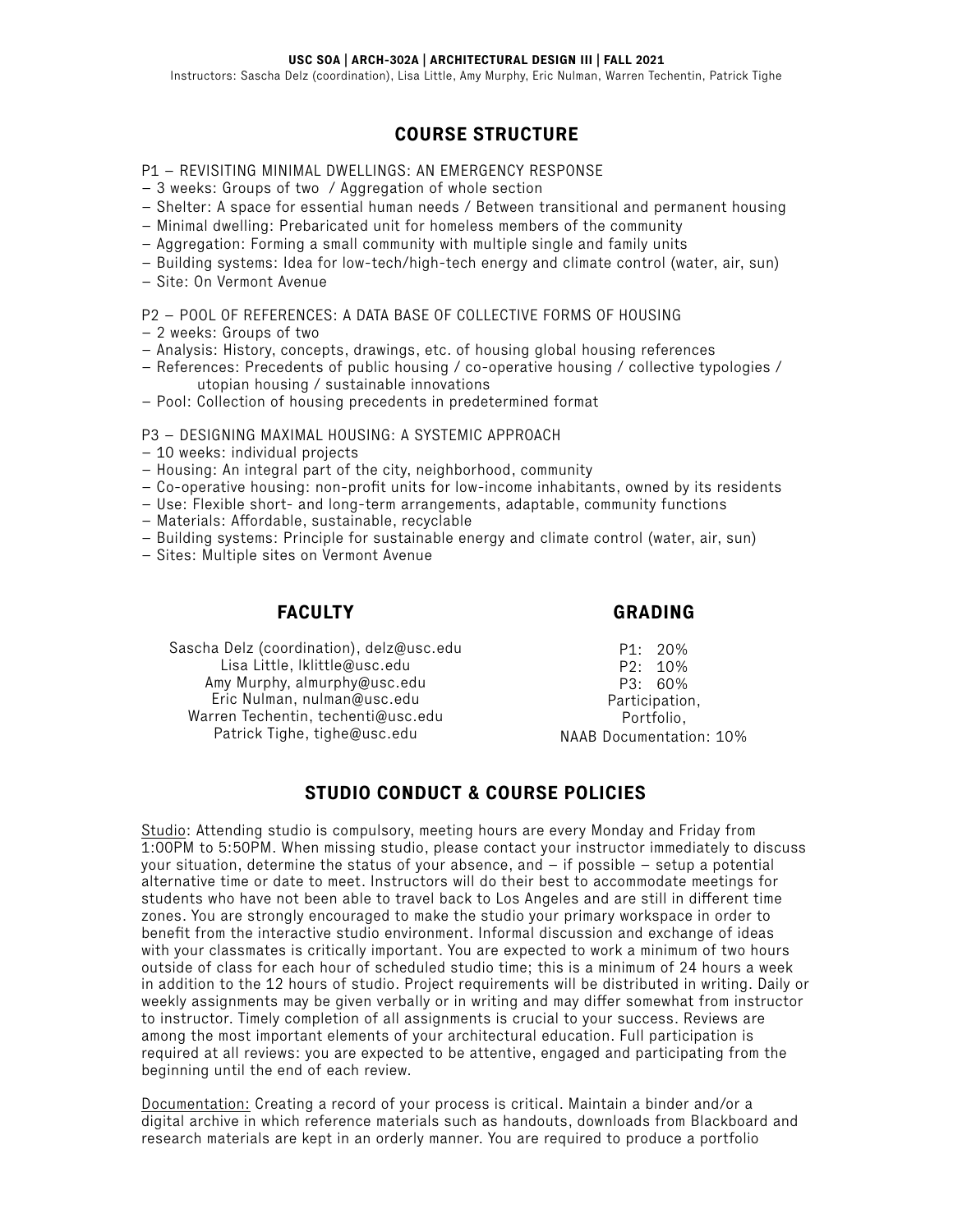Instructors: Sascha Delz (coordination), Lisa Little, Amy Murphy, Eric Nulman, Warren Techentin, Patrick Tighe

## **COURSE STRUCTURE**

P1 – REVISITING MINIMAL DWELLINGS: AN EMERGENCY RESPONSE

- 3 weeks: Groups of two / Aggregation of whole section
- Shelter: A space for essential human needs / Between transitional and permanent housing
- Minimal dwelling: Prebaricated unit for homeless members of the community
- Aggregation: Forming a small community with multiple single and family units
- Building systems: Idea for low-tech/high-tech energy and climate control (water, air, sun)
- Site: On Vermont Avenue

P2 – POOL OF REFERENCES: A DATA BASE OF COLLECTIVE FORMS OF HOUSING

- 2 weeks: Groups of two
- Analysis: History, concepts, drawings, etc. of housing global housing references
- References: Precedents of public housing / co-operative housing / collective typologies / utopian housing / sustainable innovations
- Pool: Collection of housing precedents in predetermined format
- P3 DESIGNING MAXIMAL HOUSING: A SYSTEMIC APPROACH
- 10 weeks: individual projects
- Housing: An integral part of the city, neighborhood, community
- Co-operative housing: non-profit units for low-income inhabitants, owned by its residents
- Use: Flexible short- and long-term arrangements, adaptable, community functions
- Materials: Affordable, sustainable, recyclable

**FACULTY**

- Building systems: Principle for sustainable energy and climate control (water, air, sun)
- Sites: Multiple sites on Vermont Avenue

| Sascha Delz (coordination), delz@usc.edu | P1: 20%                 |
|------------------------------------------|-------------------------|
| Lisa Little, Iklittle@usc.edu            | $P2: 10\%$              |
| Amy Murphy, almurphy@usc.edu             | P3: 60%                 |
| Eric Nulman, nulman@usc.edu              | Participation,          |
| Warren Techentin, techenti@usc.edu       | Portfolio.              |
| Patrick Tighe, tighe@usc.edu             | NAAB Documentation: 10% |

## **STUDIO CONDUCT & COURSE POLICIES**

**GRADING**

Studio: Attending studio is compulsory, meeting hours are every Monday and Friday from 1:00PM to 5:50PM. When missing studio, please contact your instructor immediately to discuss your situation, determine the status of your absence, and – if possible – setup a potential alternative time or date to meet. Instructors will do their best to accommodate meetings for students who have not been able to travel back to Los Angeles and are still in different time zones. You are strongly encouraged to make the studio your primary workspace in order to benefit from the interactive studio environment. Informal discussion and exchange of ideas with your classmates is critically important. You are expected to work a minimum of two hours outside of class for each hour of scheduled studio time; this is a minimum of 24 hours a week in addition to the 12 hours of studio. Project requirements will be distributed in writing. Daily or weekly assignments may be given verbally or in writing and may differ somewhat from instructor to instructor. Timely completion of all assignments is crucial to your success. Reviews are among the most important elements of your architectural education. Full participation is required at all reviews: you are expected to be attentive, engaged and participating from the beginning until the end of each review.

Documentation: Creating a record of your process is critical. Maintain a binder and/or a digital archive in which reference materials such as handouts, downloads from Blackboard and research materials are kept in an orderly manner. You are required to produce a portfolio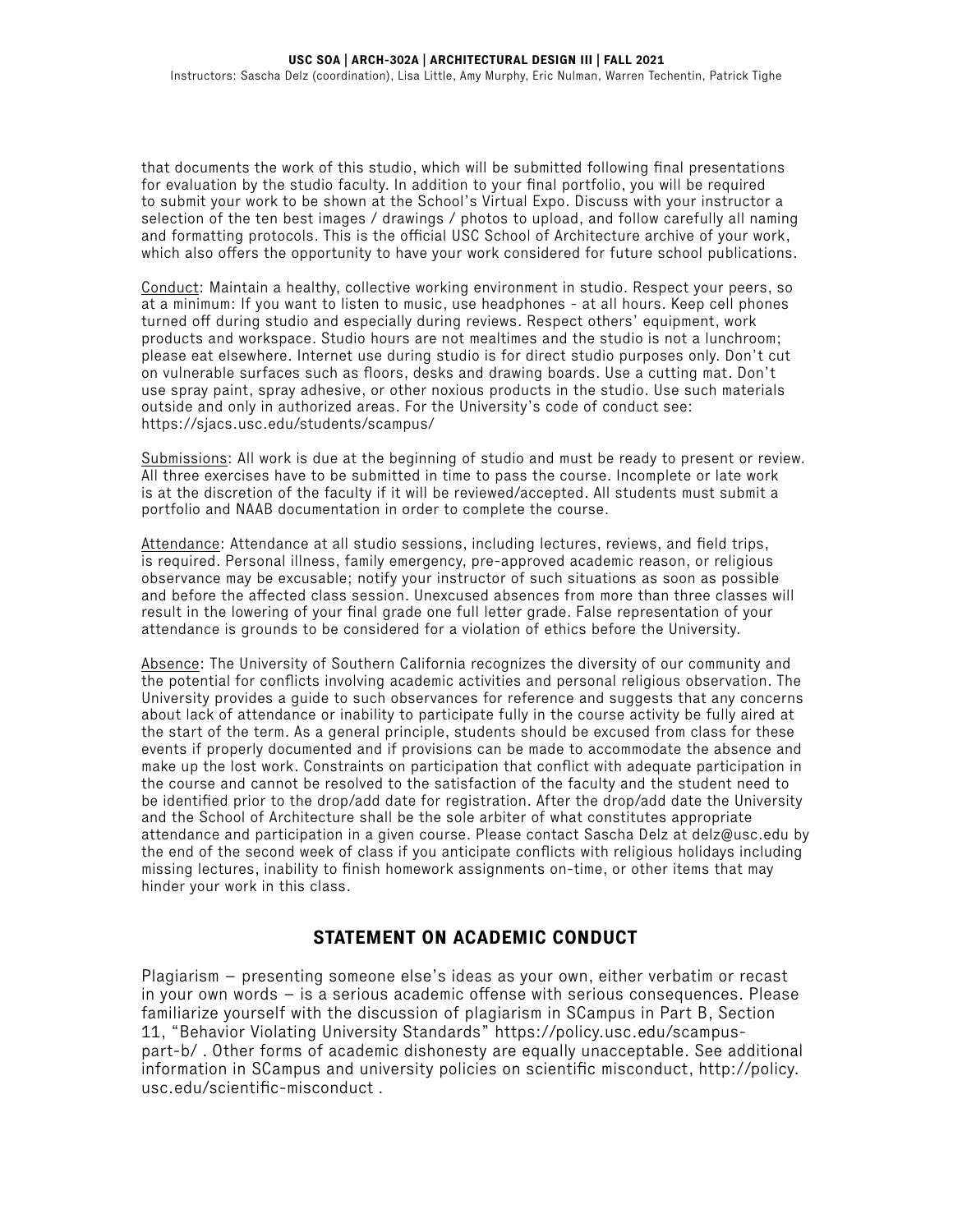that documents the work of this studio, which will be submitted following final presentations for evaluation by the studio faculty. In addition to your final portfolio, you will be required to submit your work to be shown at the School's Virtual Expo. Discuss with your instructor a selection of the ten best images / drawings / photos to upload, and follow carefully all naming and formatting protocols. This is the official USC School of Architecture archive of your work, which also offers the opportunity to have your work considered for future school publications.

Conduct: Maintain a healthy, collective working environment in studio. Respect your peers, so at a minimum: If you want to listen to music, use headphones - at all hours. Keep cell phones turned off during studio and especially during reviews. Respect others' equipment, work products and workspace. Studio hours are not mealtimes and the studio is not a lunchroom; please eat elsewhere. Internet use during studio is for direct studio purposes only. Don't cut on vulnerable surfaces such as floors, desks and drawing boards. Use a cutting mat. Don't use spray paint, spray adhesive, or other noxious products in the studio. Use such materials outside and only in authorized areas. For the University's code of conduct see: https://sjacs.usc.edu/students/scampus/

Submissions: All work is due at the beginning of studio and must be ready to present or review. All three exercises have to be submitted in time to pass the course. Incomplete or late work is at the discretion of the faculty if it will be reviewed/accepted. All students must submit a portfolio and NAAB documentation in order to complete the course.

Attendance: Attendance at all studio sessions, including lectures, reviews, and field trips, is required. Personal illness, family emergency, pre-approved academic reason, or religious observance may be excusable; notify your instructor of such situations as soon as possible and before the affected class session. Unexcused absences from more than three classes will result in the lowering of your final grade one full letter grade. False representation of your attendance is grounds to be considered for a violation of ethics before the University.

Absence: The University of Southern California recognizes the diversity of our community and the potential for conflicts involving academic activities and personal religious observation. The University provides a guide to such observances for reference and suggests that any concerns about lack of attendance or inability to participate fully in the course activity be fully aired at the start of the term. As a general principle, students should be excused from class for these events if properly documented and if provisions can be made to accommodate the absence and make up the lost work. Constraints on participation that conflict with adequate participation in the course and cannot be resolved to the satisfaction of the faculty and the student need to be identified prior to the drop/add date for registration. After the drop/add date the University and the School of Architecture shall be the sole arbiter of what constitutes appropriate attendance and participation in a given course. Please contact Sascha Delz at delz@usc.edu by the end of the second week of class if you anticipate conflicts with religious holidays including missing lectures, inability to finish homework assignments on-time, or other items that may hinder your work in this class.

## **STATEMENT ON ACADEMIC CONDUCT**

Plagiarism – presenting someone else's ideas as your own, either verbatim or recast in your own words – is a serious academic offense with serious consequences. Please familiarize yourself with the discussion of plagiarism in SCampus in Part B, Section 11, "Behavior Violating University Standards" https://policy.usc.edu/scampuspart-b/ . Other forms of academic dishonesty are equally unacceptable. See additional information in SCampus and university policies on scientific misconduct, http://policy. usc.edu/scientific-misconduct .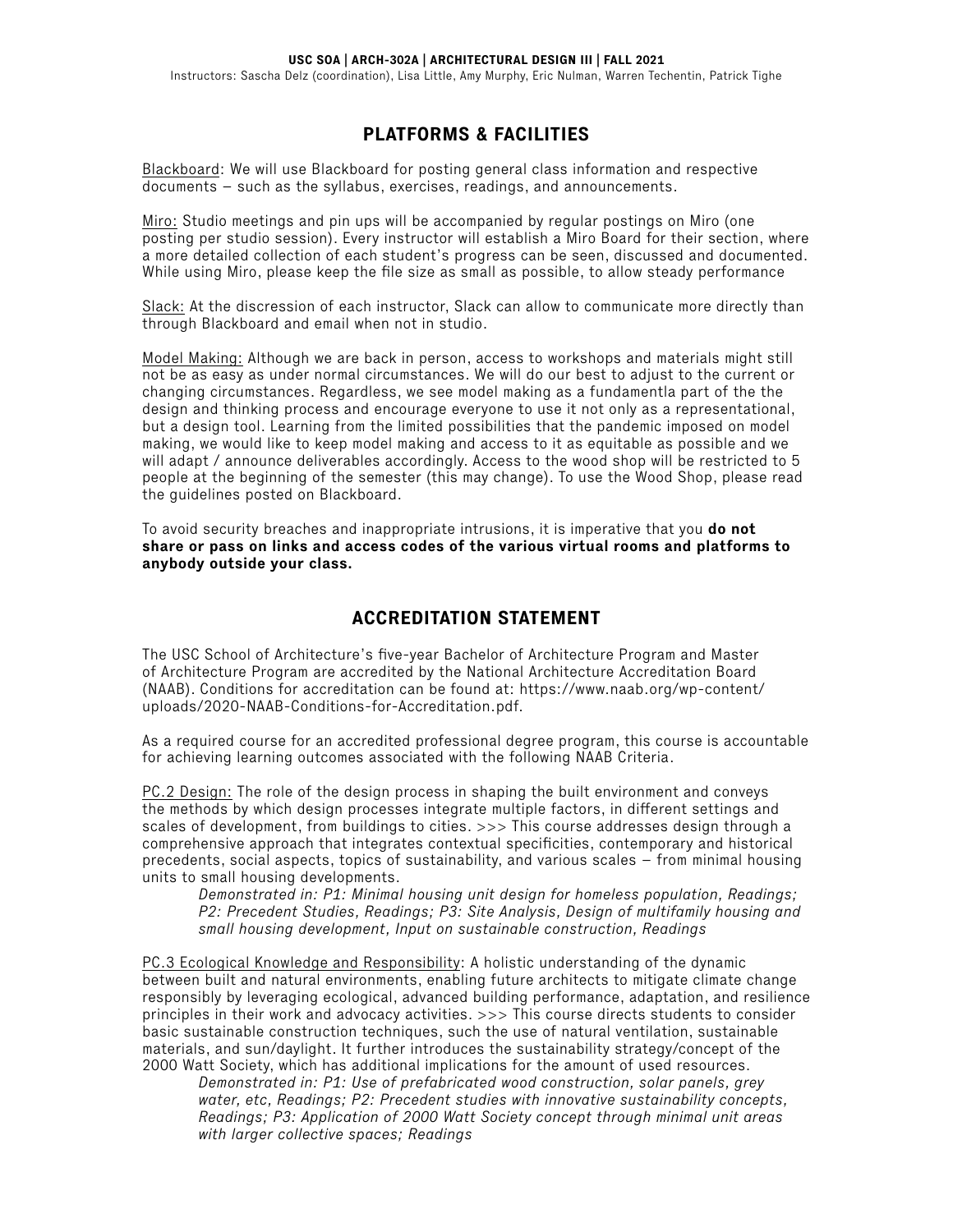## **PLATFORMS & FACILITIES**

Blackboard: We will use Blackboard for posting general class information and respective documents – such as the syllabus, exercises, readings, and announcements.

Miro: Studio meetings and pin ups will be accompanied by regular postings on Miro (one posting per studio session). Every instructor will establish a Miro Board for their section, where a more detailed collection of each student's progress can be seen, discussed and documented. While using Miro, please keep the file size as small as possible, to allow steady performance

Slack: At the discression of each instructor, Slack can allow to communicate more directly than through Blackboard and email when not in studio.

Model Making: Although we are back in person, access to workshops and materials might still not be as easy as under normal circumstances. We will do our best to adjust to the current or changing circumstances. Regardless, we see model making as a fundamentla part of the the design and thinking process and encourage everyone to use it not only as a representational, but a design tool. Learning from the limited possibilities that the pandemic imposed on model making, we would like to keep model making and access to it as equitable as possible and we will adapt / announce deliverables accordingly. Access to the wood shop will be restricted to 5 people at the beginning of the semester (this may change). To use the Wood Shop, please read the guidelines posted on Blackboard.

To avoid security breaches and inappropriate intrusions, it is imperative that you **do not share or pass on links and access codes of the various virtual rooms and platforms to anybody outside your class.**

## **ACCREDITATION STATEMENT**

The USC School of Architecture's five-year Bachelor of Architecture Program and Master of Architecture Program are accredited by the National Architecture Accreditation Board (NAAB). Conditions for accreditation can be found at: https://www.naab.org/wp-content/ uploads/2020-NAAB-Conditions-for-Accreditation.pdf.

As a required course for an accredited professional degree program, this course is accountable for achieving learning outcomes associated with the following NAAB Criteria.

PC.2 Design: The role of the design process in shaping the built environment and conveys the methods by which design processes integrate multiple factors, in different settings and scales of development, from buildings to cities. >>> This course addresses design through a comprehensive approach that integrates contextual specificities, contemporary and historical precedents, social aspects, topics of sustainability, and various scales – from minimal housing units to small housing developments.

Demonstrated in: P1: Minimal housing unit design for homeless population, Readings; P2: Precedent Studies, Readings; P3: Site Analysis, Design of multifamily housing and small housing development, Input on sustainable construction, Readings

PC.3 Ecological Knowledge and Responsibility: A holistic understanding of the dynamic between built and natural environments, enabling future architects to mitigate climate change responsibly by leveraging ecological, advanced building performance, adaptation, and resilience principles in their work and advocacy activities. >>> This course directs students to consider basic sustainable construction techniques, such the use of natural ventilation, sustainable materials, and sun/daylight. It further introduces the sustainability strategy/concept of the 2000 Watt Society, which has additional implications for the amount of used resources.

Demonstrated in: P1: Use of prefabricated wood construction, solar panels, grey water, etc, Readings; P2: Precedent studies with innovative sustainability concepts, Readings; P3: Application of 2000 Watt Society concept through minimal unit areas with larger collective spaces; Readings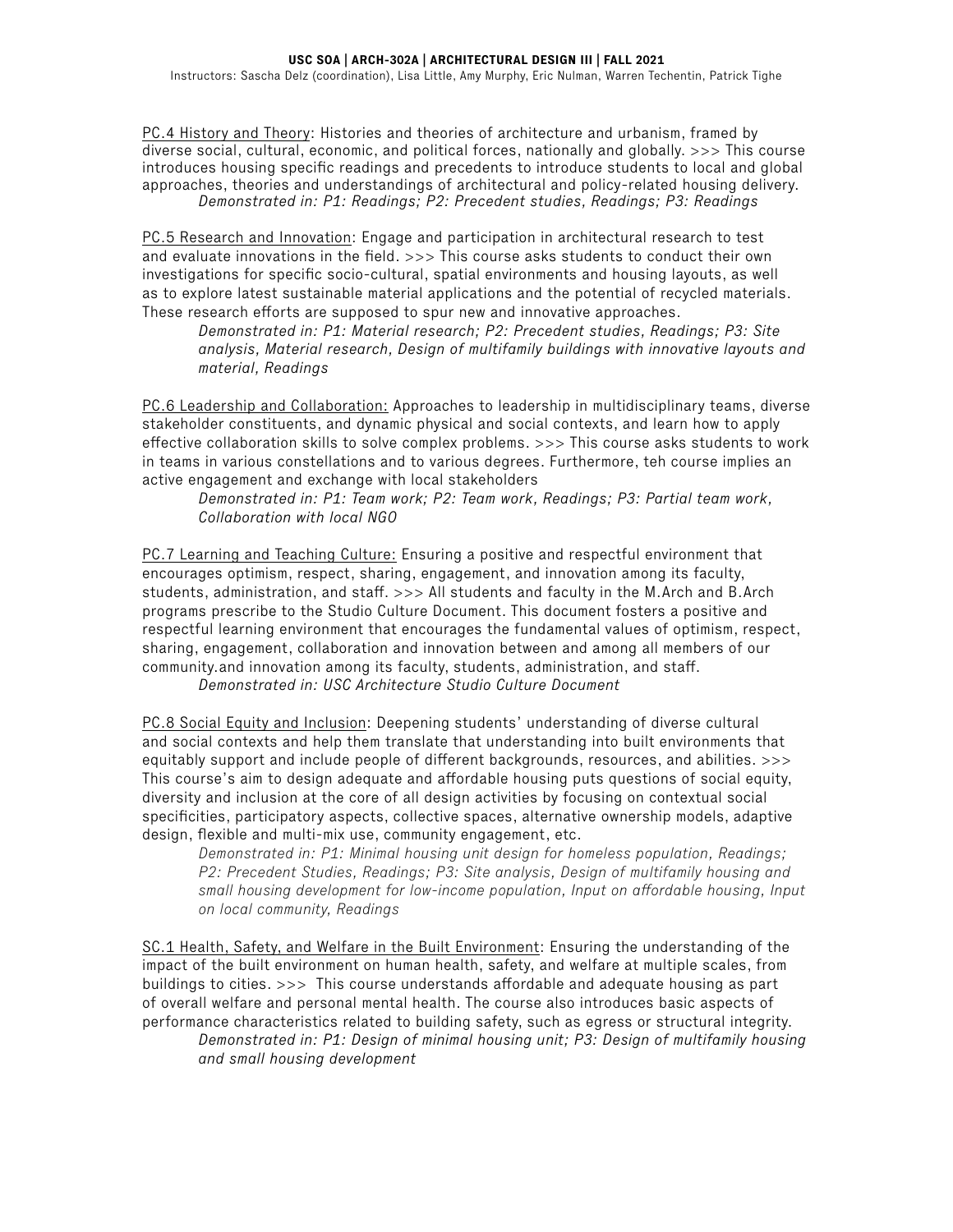PC.4 History and Theory: Histories and theories of architecture and urbanism, framed by diverse social, cultural, economic, and political forces, nationally and globally. >>> This course introduces housing specific readings and precedents to introduce students to local and global approaches, theories and understandings of architectural and policy-related housing delivery. Demonstrated in: P1: Readings; P2: Precedent studies, Readings; P3: Readings

PC.5 Research and Innovation: Engage and participation in architectural research to test and evaluate innovations in the field. >>> This course asks students to conduct their own investigations for specific socio-cultural, spatial environments and housing layouts, as well as to explore latest sustainable material applications and the potential of recycled materials. These research efforts are supposed to spur new and innovative approaches.

Demonstrated in: P1: Material research; P2: Precedent studies, Readings; P3: Site analysis, Material research, Design of multifamily buildings with innovative layouts and material, Readings

PC.6 Leadership and Collaboration: Approaches to leadership in multidisciplinary teams, diverse stakeholder constituents, and dynamic physical and social contexts, and learn how to apply effective collaboration skills to solve complex problems. >>> This course asks students to work in teams in various constellations and to various degrees. Furthermore, teh course implies an active engagement and exchange with local stakeholders

Demonstrated in: P1: Team work; P2: Team work, Readings; P3: Partial team work, Collaboration with local NGO

PC.7 Learning and Teaching Culture: Ensuring a positive and respectful environment that encourages optimism, respect, sharing, engagement, and innovation among its faculty, students, administration, and staff. >>> All students and faculty in the M.Arch and B.Arch programs prescribe to the Studio Culture Document. This document fosters a positive and respectful learning environment that encourages the fundamental values of optimism, respect, sharing, engagement, collaboration and innovation between and among all members of our community.and innovation among its faculty, students, administration, and staff.

Demonstrated in: USC Architecture Studio Culture Document

PC.8 Social Equity and Inclusion: Deepening students' understanding of diverse cultural and social contexts and help them translate that understanding into built environments that equitably support and include people of different backgrounds, resources, and abilities. >>> This course's aim to design adequate and affordable housing puts questions of social equity, diversity and inclusion at the core of all design activities by focusing on contextual social specificities, participatory aspects, collective spaces, alternative ownership models, adaptive design, flexible and multi-mix use, community engagement, etc.

Demonstrated in: P1: Minimal housing unit design for homeless population, Readings; P2: Precedent Studies, Readings; P3: Site analysis, Design of multifamily housing and small housing development for low-income population, Input on affordable housing, Input on local community, Readings

SC.1 Health, Safety, and Welfare in the Built Environment: Ensuring the understanding of the impact of the built environment on human health, safety, and welfare at multiple scales, from buildings to cities. >>> This course understands affordable and adequate housing as part of overall welfare and personal mental health. The course also introduces basic aspects of performance characteristics related to building safety, such as egress or structural integrity.

Demonstrated in: P1: Design of minimal housing unit; P3: Design of multifamily housing and small housing development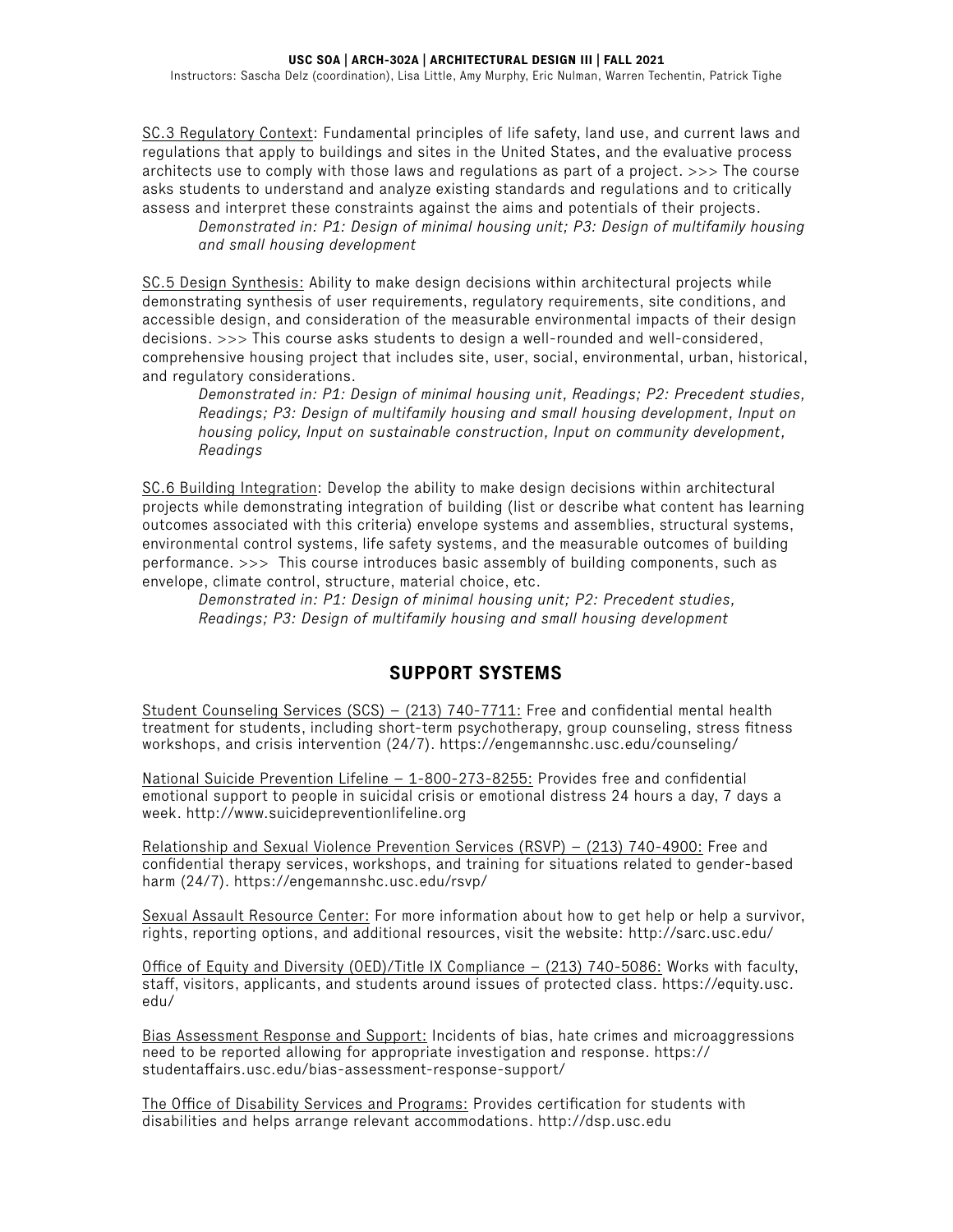SC.3 Regulatory Context: Fundamental principles of life safety, land use, and current laws and regulations that apply to buildings and sites in the United States, and the evaluative process architects use to comply with those laws and regulations as part of a project. >>> The course asks students to understand and analyze existing standards and regulations and to critically assess and interpret these constraints against the aims and potentials of their projects.

Demonstrated in: P1: Design of minimal housing unit; P3: Design of multifamily housing and small housing development

SC.5 Design Synthesis: Ability to make design decisions within architectural projects while demonstrating synthesis of user requirements, regulatory requirements, site conditions, and accessible design, and consideration of the measurable environmental impacts of their design decisions. >>> This course asks students to design a well-rounded and well-considered, comprehensive housing project that includes site, user, social, environmental, urban, historical, and regulatory considerations.

Demonstrated in: P1: Design of minimal housing unit, Readings; P2: Precedent studies, Readings; P3: Design of multifamily housing and small housing development, Input on housing policy, Input on sustainable construction, Input on community development, Readings

SC.6 Building Integration: Develop the ability to make design decisions within architectural projects while demonstrating integration of building (list or describe what content has learning outcomes associated with this criteria) envelope systems and assemblies, structural systems, environmental control systems, life safety systems, and the measurable outcomes of building performance. >>> This course introduces basic assembly of building components, such as envelope, climate control, structure, material choice, etc.

Demonstrated in: P1: Design of minimal housing unit; P2: Precedent studies, Readings; P3: Design of multifamily housing and small housing development

## **SUPPORT SYSTEMS**

Student Counseling Services (SCS) – (213) 740-7711: Free and confidential mental health treatment for students, including short-term psychotherapy, group counseling, stress fitness workshops, and crisis intervention (24/7). https://engemannshc.usc.edu/counseling/

National Suicide Prevention Lifeline – 1-800-273-8255: Provides free and confidential emotional support to people in suicidal crisis or emotional distress 24 hours a day, 7 days a week. http://www.suicidepreventionlifeline.org

Relationship and Sexual Violence Prevention Services (RSVP) – (213) 740-4900: Free and confidential therapy services, workshops, and training for situations related to gender-based harm (24/7). https://engemannshc.usc.edu/rsvp/

Sexual Assault Resource Center: For more information about how to get help or help a survivor, rights, reporting options, and additional resources, visit the website: http://sarc.usc.edu/

Office of Equity and Diversity (OED)/Title IX Compliance – (213) 740-5086: Works with faculty, staff, visitors, applicants, and students around issues of protected class. https://equity.usc. edu/

Bias Assessment Response and Support: Incidents of bias, hate crimes and microaggressions need to be reported allowing for appropriate investigation and response. https:// studentaffairs.usc.edu/bias-assessment-response-support/

The Office of Disability Services and Programs: Provides certification for students with disabilities and helps arrange relevant accommodations. http://dsp.usc.edu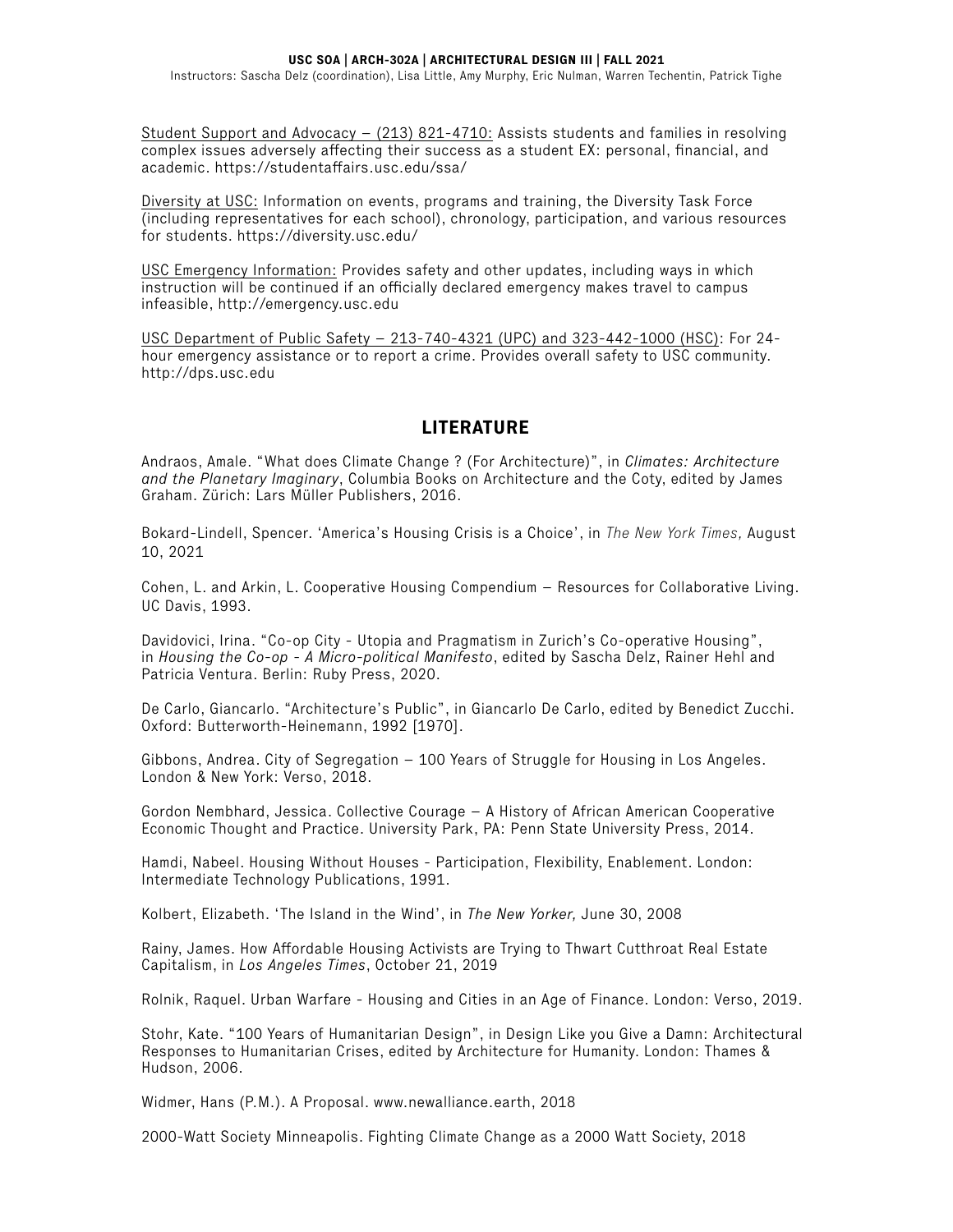Instructors: Sascha Delz (coordination), Lisa Little, Amy Murphy, Eric Nulman, Warren Techentin, Patrick Tighe

Student Support and Advocacy – (213) 821-4710: Assists students and families in resolving complex issues adversely affecting their success as a student EX: personal, financial, and academic. https://studentaffairs.usc.edu/ssa/

Diversity at USC: Information on events, programs and training, the Diversity Task Force (including representatives for each school), chronology, participation, and various resources for students. https://diversity.usc.edu/

USC Emergency Information: Provides safety and other updates, including ways in which instruction will be continued if an officially declared emergency makes travel to campus infeasible, http://emergency.usc.edu

USC Department of Public Safety – 213-740-4321 (UPC) and 323-442-1000 (HSC): For 24 hour emergency assistance or to report a crime. Provides overall safety to USC community. http://dps.usc.edu

## **LITERATURE**

Andraos, Amale. "What does Climate Change ? (For Architecture)", in Climates: Architecture and the Planetary Imaginary, Columbia Books on Architecture and the Coty, edited by James Graham. Zürich: Lars Müller Publishers, 2016.

Bokard-Lindell, Spencer. 'America's Housing Crisis is a Choice', in The New York Times, August 10, 2021

Cohen, L. and Arkin, L. Cooperative Housing Compendium – Resources for Collaborative Living. UC Davis, 1993.

Davidovici, Irina. "Co-op City - Utopia and Pragmatism in Zurich's Co-operative Housing", in Housing the Co-op - A Micro-political Manifesto, edited by Sascha Delz, Rainer Hehl and Patricia Ventura. Berlin: Ruby Press, 2020.

De Carlo, Giancarlo. "Architecture's Public", in Giancarlo De Carlo, edited by Benedict Zucchi. Oxford: Butterworth-Heinemann, 1992 [1970].

Gibbons, Andrea. City of Segregation – 100 Years of Struggle for Housing in Los Angeles. London & New York: Verso, 2018.

Gordon Nembhard, Jessica. Collective Courage – A History of African American Cooperative Economic Thought and Practice. University Park, PA: Penn State University Press, 2014.

Hamdi, Nabeel. Housing Without Houses - Participation, Flexibility, Enablement. London: Intermediate Technology Publications, 1991.

Kolbert, Elizabeth. 'The Island in the Wind', in The New Yorker, June 30, 2008

Rainy, James. How Affordable Housing Activists are Trying to Thwart Cutthroat Real Estate Capitalism, in Los Angeles Times, October 21, 2019

Rolnik, Raquel. Urban Warfare - Housing and Cities in an Age of Finance. London: Verso, 2019.

Stohr, Kate. "100 Years of Humanitarian Design", in Design Like you Give a Damn: Architectural Responses to Humanitarian Crises, edited by Architecture for Humanity. London: Thames & Hudson, 2006.

Widmer, Hans (P.M.). A Proposal. www.newalliance.earth, 2018

2000-Watt Society Minneapolis. Fighting Climate Change as a 2000 Watt Society, 2018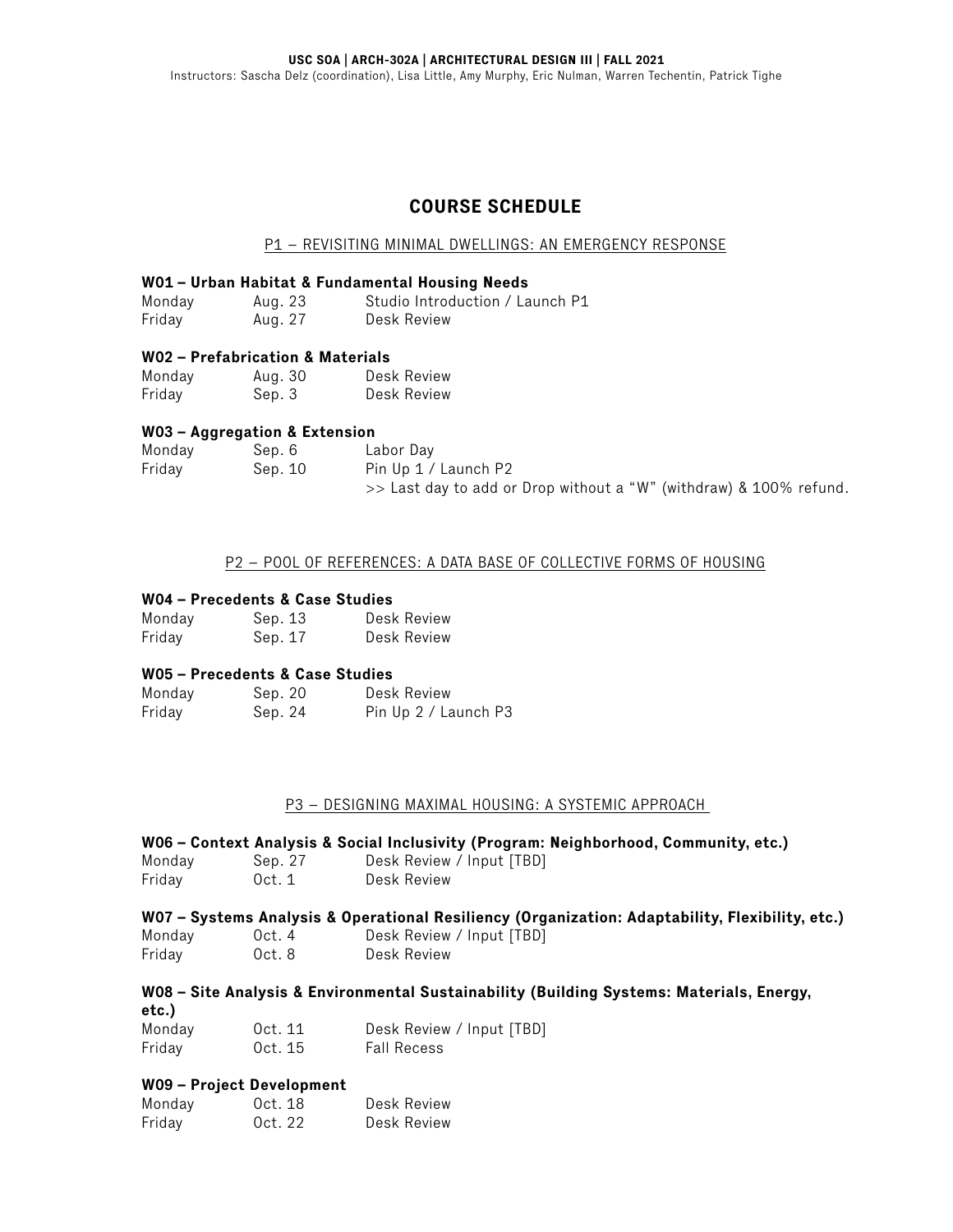## **COURSE SCHEDULE**

#### P1 – REVISITING MINIMAL DWELLINGS: AN EMERGENCY RESPONSE

#### **W01 – Urban Habitat & Fundamental Housing Needs**

| Monday | Aug. 23 | Studio Introduction / Launch P1 |
|--------|---------|---------------------------------|
| Friday | Aug. 27 | Desk Review                     |

#### **W02 – Prefabrication & Materials**

| Monday | Aug. 30 | Desk Review |
|--------|---------|-------------|
| Friday | Sep. 3  | Desk Review |

#### **W03 – Aggregation & Extension**

| Monday | Sep.6   | Labor Day                                                             |
|--------|---------|-----------------------------------------------------------------------|
| Friday | Sep. 10 | Pin Up 1 / Launch P2                                                  |
|        |         | $\gg$ Last day to add or Drop without a "W" (withdraw) & 100% refund. |

#### P2 – POOL OF REFERENCES: A DATA BASE OF COLLECTIVE FORMS OF HOUSING

#### **W04 – Precedents & Case Studies**

| Monday | Sep. 13 | Desk Review |
|--------|---------|-------------|
| Friday | Sep. 17 | Desk Review |

#### **W05 – Precedents & Case Studies**

| Monday | Sep. 20 | Desk Review          |
|--------|---------|----------------------|
| Friday | Sep. 24 | Pin Up 2 / Launch P3 |

#### P3 – DESIGNING MAXIMAL HOUSING: A SYSTEMIC APPROACH

#### **W06 – Context Analysis & Social Inclusivity (Program: Neighborhood, Community, etc.)**

| Monday | Sep. 27 | Desk Review / Input [TBD] |
|--------|---------|---------------------------|
| Friday | 0ct. 1  | Desk Review               |

#### **W07 – Systems Analysis & Operational Resiliency (Organization: Adaptability, Flexibility, etc.)**

| Monday | 0ct.4  | Desk Review / Input [TBD] |
|--------|--------|---------------------------|
| Friday | 0ct. 8 | Desk Review               |

## **W08 – Site Analysis & Environmental Sustainability (Building Systems: Materials, Energy, etc.)**

| Monday | 0ct. 11 | Desk Review / Input [TBD] |
|--------|---------|---------------------------|
| Friday | 0ct. 15 | <b>Fall Recess</b>        |

#### **W09 – Project Development**

| Monday | 0ct. 18 | Desk Review |
|--------|---------|-------------|
| Friday | Oct. 22 | Desk Review |